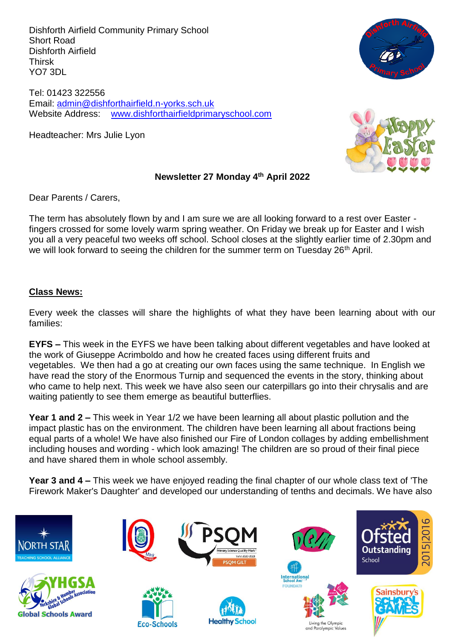Dishforth Airfield Community Primary School Short Road Dishforth Airfield Thirsk YO7 3DL

Tel: 01423 322556 Email: [admin@dishforthairfield.n-yorks.sch.uk](mailto:admin@dishforthairfield.n-yorks.sch.uk) Website Address: [www.dishforthairfieldprimaryschool.com](http://www.dishforthairfieldprimaryschool.com/)

Headteacher: Mrs Julie Lyon





#### **Newsletter 27 Monday 4 th April 2022**

Dear Parents / Carers,

The term has absolutely flown by and I am sure we are all looking forward to a rest over Easter fingers crossed for some lovely warm spring weather. On Friday we break up for Easter and I wish you all a very peaceful two weeks off school. School closes at the slightly earlier time of 2.30pm and we will look forward to seeing the children for the summer term on Tuesday 26<sup>th</sup> April.

## **Class News:**

Every week the classes will share the highlights of what they have been learning about with our families:

**EYFS –** This week in the EYFS we have been talking about different vegetables and have looked at the work of Giuseppe Acrimboldo and how he created faces using different fruits and vegetables. We then had a go at creating our own faces using the same technique. In English we have read the story of the Enormous Turnip and sequenced the events in the story, thinking about who came to help next. This week we have also seen our caterpillars go into their chrysalis and are waiting patiently to see them emerge as beautiful butterflies.

**Year 1 and 2 –** This week in Year 1/2 we have been learning all about plastic pollution and the impact plastic has on the environment. The children have been learning all about fractions being equal parts of a whole! We have also finished our Fire of London collages by adding embellishment including houses and wording - which look amazing! The children are so proud of their final piece and have shared them in whole school assembly.

**Year 3 and 4 –** This week we have enjoyed reading the final chapter of our whole class text of 'The Firework Maker's Daughter' and developed our understanding of tenths and decimals. We have also

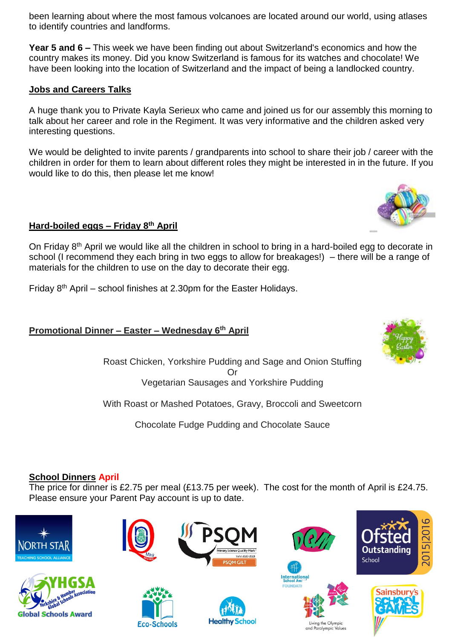been learning about where the most famous volcanoes are located around our world, using atlases to identify countries and landforms.

**Year 5 and 6 –** This week we have been finding out about Switzerland's economics and how the country makes its money. Did you know Switzerland is famous for its watches and chocolate! We have been looking into the location of Switzerland and the impact of being a landlocked country.

## **Jobs and Careers Talks**

A huge thank you to Private Kayla Serieux who came and joined us for our assembly this morning to talk about her career and role in the Regiment. It was very informative and the children asked very interesting questions.

We would be delighted to invite parents / grandparents into school to share their job / career with the children in order for them to learn about different roles they might be interested in in the future. If you would like to do this, then please let me know!

## **Hard-boiled eggs – Friday 8 th April**

On Friday 8<sup>th</sup> April we would like all the children in school to bring in a hard-boiled egg to decorate in school (I recommend they each bring in two eggs to allow for breakages!) – there will be a range of materials for the children to use on the day to decorate their egg.

Friday  $8<sup>th</sup>$  April – school finishes at 2.30pm for the Easter Holidays.

# **Promotional Dinner – Easter – Wednesday 6 th April**

Roast Chicken, Yorkshire Pudding and Sage and Onion Stuffing Or Vegetarian Sausages and Yorkshire Pudding

With Roast or Mashed Potatoes, Gravy, Broccoli and Sweetcorn

Chocolate Fudge Pudding and Chocolate Sauce

## **School Dinners April**

The price for dinner is £2.75 per meal (£13.75 per week). The cost for the month of April is £24.75. Please ensure your Parent Pay account is up to date.









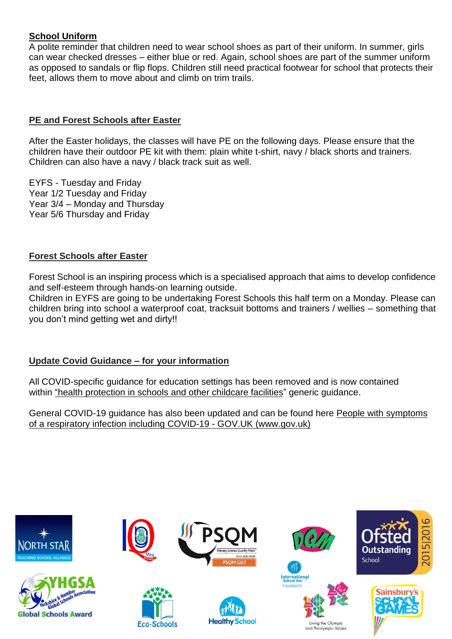# **School Uniform**

A polite reminder that children need to wear school shoes as part of their uniform. In summer, girls can wear checked dresses – either blue or red. Again, school shoes are part of the summer uniform as opposed to sandals or flip flops. Children still need practical footwear for school that protects their feet, allows them to move about and climb on trim trails.

### **PE and Forest Schools after Easter**

After the Easter holidays, the classes will have PE on the following days. Please ensure that the children have their outdoor PE kit with them: plain white t-shirt, navy / black shorts and trainers. Children can also have a navy / black track suit as well.

EYFS - Tuesday and Friday Year 1/2 Tuesday and Friday Year 3/4 – Monday and Thursday Year 5/6 Thursday and Friday

#### **Forest Schools after Easter**

Forest School is an inspiring process which is a specialised approach that aims to develop confidence and self-esteem through hands-on learning outside.

Children in EYFS are going to be undertaking Forest Schools this half term on a Monday. Please can children bring into school a waterproof coat, tracksuit bottoms and trainers / wellies – something that you don't mind getting wet and dirty!!

## **Update Covid Guidance – for your information**

All COVID-specific guidance for education settings has been removed and is now contained within ["h](https://www.gov.uk/government/publications/health-protection-in-schools-and-other-childcare-facilities)ealth [protection](https://www.gov.uk/government/publications/health-protection-in-schools-and-other-childcare-facilities) in schools and other [childcare](https://www.gov.uk/government/publications/health-protection-in-schools-and-other-childcare-facilities) facilities" generic guidance.

General COVID-19 guidance has also been updated and can be found here People with [symptoms](https://www.gov.uk/guidance/people-with-symptoms-of-a-respiratory-infection-including-covid-19#what-to-do-if-you-are-a-close-contact-of-someone-who-has-had-a-positive-test-result-for-covid-19) of a respiratory infection including COVID-19 - GOV.UK [\(www.gov.uk\)](https://www.gov.uk/guidance/people-with-symptoms-of-a-respiratory-infection-including-covid-19#what-to-do-if-you-are-a-close-contact-of-someone-who-has-had-a-positive-test-result-for-covid-19)

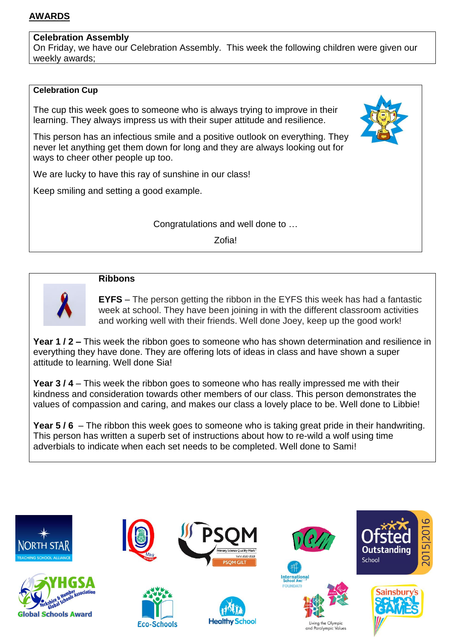## **AWARDS**

#### **Celebration Assembly**

On Friday, we have our Celebration Assembly. This week the following children were given our weekly awards;

#### **Celebration Cup**

The cup this week goes to someone who is always trying to improve in their learning. They always impress us with their super attitude and resilience.

This person has an infectious smile and a positive outlook on everything. They never let anything get them down for long and they are always looking out for ways to cheer other people up too.

We are lucky to have this ray of sunshine in our class!

Keep smiling and setting a good example.

## Congratulations and well done to …

Zofia!



## **Ribbons**

**EYFS** – The person getting the ribbon in the EYFS this week has had a fantastic week at school. They have been joining in with the different classroom activities and working well with their friends. Well done Joey, keep up the good work!

**Year 1 / 2 –** This week the ribbon goes to someone who has shown determination and resilience in everything they have done. They are offering lots of ideas in class and have shown a super attitude to learning. Well done Sia!

**Year 3 / 4** – This week the ribbon goes to someone who has really impressed me with their kindness and consideration towards other members of our class. This person demonstrates the values of compassion and caring, and makes our class a lovely place to be. Well done to Libbie!

**Year 5 / 6** – The ribbon this week goes to someone who is taking great pride in their handwriting. This person has written a superb set of instructions about how to re-wild a wolf using time adverbials to indicate when each set needs to be completed. Well done to Sami!

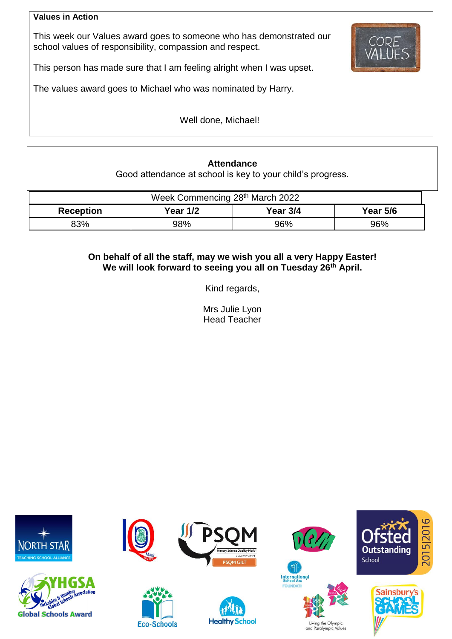#### **Values in Action**

This week our Values award goes to someone who has demonstrated our school values of responsibility, compassion and respect.



This person has made sure that I am feeling alright when I was upset.

The values award goes to Michael who was nominated by Harry.

Well done, Michael!

# **Attendance**

Good attendance at school is key to your child's progress.

| Week Commencing 28th March 2022 |                 |          |          |  |  |  |
|---------------------------------|-----------------|----------|----------|--|--|--|
| <b>Reception</b>                | <b>Year 1/2</b> | Year 3/4 | Year 5/6 |  |  |  |
| 83%                             | 98%             | 96%      | 96%      |  |  |  |

## **On behalf of all the staff, may we wish you all a very Happy Easter! We will look forward to seeing you all on Tuesday 26th April.**

Kind regards,

Mrs Julie Lyon Head Teacher